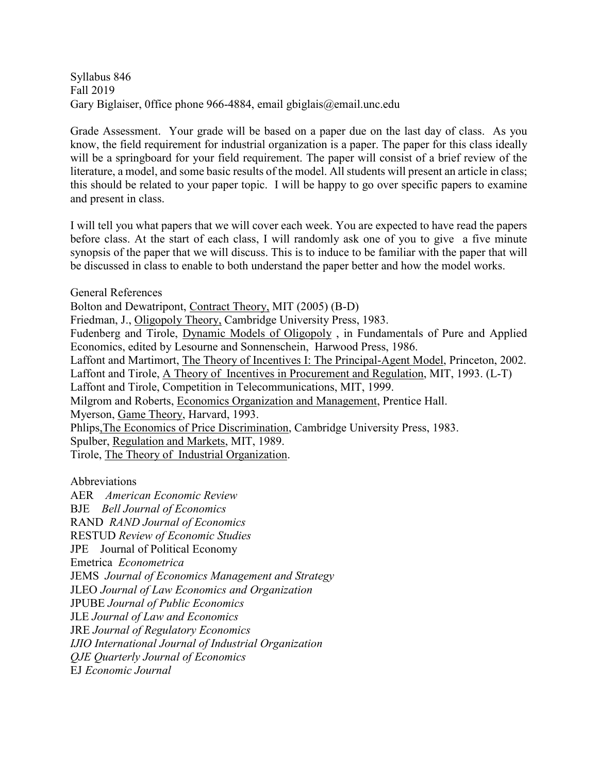Syllabus 846 Fall 2019 Gary Biglaiser, 0ffice phone 966-4884, email gbiglais@email.unc.edu

Grade Assessment. Your grade will be based on a paper due on the last day of class. As you know, the field requirement for industrial organization is a paper. The paper for this class ideally will be a springboard for your field requirement. The paper will consist of a brief review of the literature, a model, and some basic results of the model. All students will present an article in class; this should be related to your paper topic. I will be happy to go over specific papers to examine and present in class.

I will tell you what papers that we will cover each week. You are expected to have read the papers before class. At the start of each class, I will randomly ask one of you to give a five minute synopsis of the paper that we will discuss. This is to induce to be familiar with the paper that will be discussed in class to enable to both understand the paper better and how the model works.

General References

Bolton and Dewatripont, Contract Theory, MIT (2005) (B-D)

Friedman, J., Oligopoly Theory, Cambridge University Press, 1983.

Fudenberg and Tirole, Dynamic Models of Oligopoly , in Fundamentals of Pure and Applied Economics, edited by Lesourne and Sonnenschein, Harwood Press, 1986.

Laffont and Martimort, The Theory of Incentives I: The Principal-Agent Model, Princeton, 2002.

Laffont and Tirole, A Theory of Incentives in Procurement and Regulation, MIT, 1993. (L-T)

Laffont and Tirole, Competition in Telecommunications, MIT, 1999.

Milgrom and Roberts, Economics Organization and Management, Prentice Hall.

Myerson, Game Theory, Harvard, 1993.

Phlips,The Economics of Price Discrimination, Cambridge University Press, 1983.

Spulber, Regulation and Markets, MIT, 1989.

Tirole, The Theory of Industrial Organization.

Abbreviations

AER *American Economic Review* BJE *Bell Journal of Economics* RAND *RAND Journal of Economics* RESTUD *Review of Economic Studies* JPE Journal of Political Economy Emetrica *Econometrica* JEMS *Journal of Economics Management and Strategy* JLEO *Journal of Law Economics and Organization* JPUBE *Journal of Public Economics* JLE *Journal of Law and Economics* JRE *Journal of Regulatory Economics IJIO International Journal of Industrial Organization QJE Quarterly Journal of Economics* EJ *Economic Journal*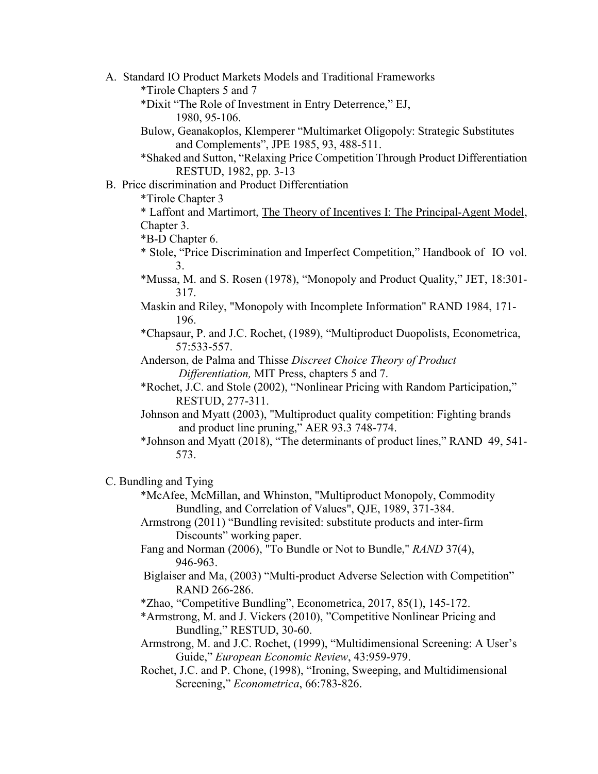A. Standard IO Product Markets Models and Traditional Frameworks

\*Tirole Chapters 5 and 7

- \*Dixit "The Role of Investment in Entry Deterrence," EJ, 1980, 95-106.
- Bulow, Geanakoplos, Klemperer "Multimarket Oligopoly: Strategic Substitutes and Complements", JPE 1985, 93, 488-511.

\*Shaked and Sutton, "Relaxing Price Competition Through Product Differentiation RESTUD, 1982, pp. 3-13

## B. Price discrimination and Product Differentiation

\*Tirole Chapter 3

\* Laffont and Martimort, The Theory of Incentives I: The Principal-Agent Model, Chapter 3.

\*B-D Chapter 6.

- \* Stole, "Price Discrimination and Imperfect Competition," Handbook of IO vol. 3.
- \*Mussa, M. and S. Rosen (1978), "Monopoly and Product Quality," JET, 18:301- 317.
- Maskin and Riley, "Monopoly with Incomplete Information" RAND 1984, 171- 196.
- \*Chapsaur, P. and J.C. Rochet, (1989), "Multiproduct Duopolists, Econometrica, 57:533-557.

Anderson, de Palma and Thisse *Discreet Choice Theory of Product Differentiation,* MIT Press, chapters 5 and 7.

- \*Rochet, J.C. and Stole (2002), "Nonlinear Pricing with Random Participation," RESTUD, 277-311.
- Johnson and Myatt (2003), "Multiproduct quality competition: Fighting brands and product line pruning," AER 93.3 748-774.
- \*Johnson and Myatt (2018), "The determinants of product lines," RAND 49, 541- 573.

## C. Bundling and Tying

- \*McAfee, McMillan, and Whinston, "Multiproduct Monopoly, Commodity Bundling, and Correlation of Values", QJE, 1989, 371-384.
- Armstrong (2011) "Bundling revisited: substitute products and inter-firm Discounts" working paper.
- Fang and Norman (2006), "To Bundle or Not to Bundle," *RAND* 37(4), 946-963.
- Biglaiser and Ma, (2003) "Multi-product Adverse Selection with Competition" RAND 266-286.
- \*Zhao, "Competitive Bundling", Econometrica, 2017, 85(1), 145-172.
- \*Armstrong, M. and J. Vickers (2010), "Competitive Nonlinear Pricing and Bundling," RESTUD, 30-60.
- Armstrong, M. and J.C. Rochet, (1999), "Multidimensional Screening: A User's Guide," *European Economic Review*, 43:959-979.
- Rochet, J.C. and P. Chone, (1998), "Ironing, Sweeping, and Multidimensional Screening," *Econometrica*, 66:783-826.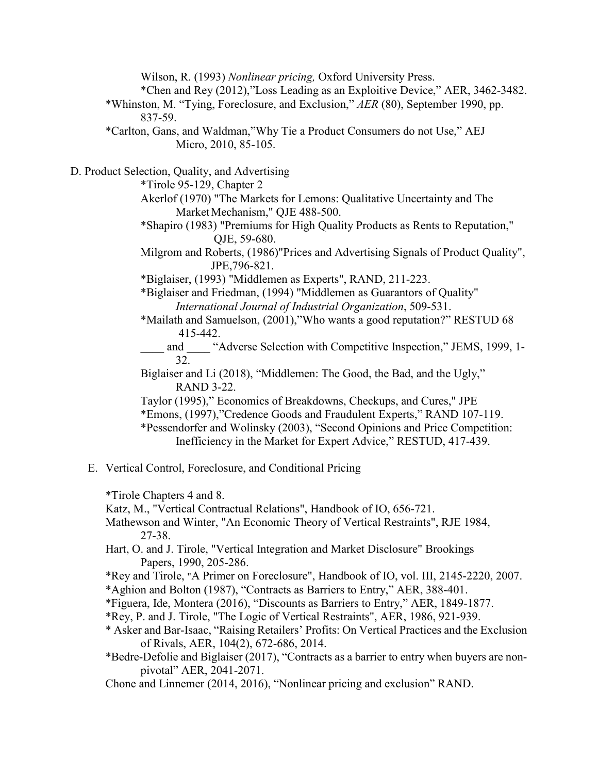Wilson, R. (1993) *Nonlinear pricing,* Oxford University Press.

\*Chen and Rey (2012),"Loss Leading as an Exploitive Device," AER, 3462-3482.

\*Whinston, M. "Tying, Foreclosure, and Exclusion," *AER* (80), September 1990, pp. 837-59.

\*Carlton, Gans, and Waldman,"Why Tie a Product Consumers do not Use," AEJ Micro, 2010, 85-105.

D. Product Selection, Quality, and Advertising

\*Tirole 95-129, Chapter 2

- Akerlof (1970) "The Markets for Lemons: Qualitative Uncertainty and The Market Mechanism," QJE 488-500.
- \*Shapiro (1983) "Premiums for High Quality Products as Rents to Reputation," QJE, 59-680.
- Milgrom and Roberts, (1986)"Prices and Advertising Signals of Product Quality", JPE,796-821.
- \*Biglaiser, (1993) "Middlemen as Experts", RAND, 211-223.
- \*Biglaiser and Friedman, (1994) "Middlemen as Guarantors of Quality" *International Journal of Industrial Organization*, 509-531.
- \*Mailath and Samuelson, (2001),"Who wants a good reputation?" RESTUD 68 415-442.
	- and "Adverse Selection with Competitive Inspection," JEMS, 1999, 1-32.
- Biglaiser and Li (2018), "Middlemen: The Good, the Bad, and the Ugly," RAND 3-22.
- Taylor (1995)," Economics of Breakdowns, Checkups, and Cures," JPE
- \*Emons, (1997),"Credence Goods and Fraudulent Experts," RAND 107-119.
- \*Pessendorfer and Wolinsky (2003), "Second Opinions and Price Competition: Inefficiency in the Market for Expert Advice," RESTUD, 417-439.
- E. Vertical Control, Foreclosure, and Conditional Pricing

\*Tirole Chapters 4 and 8.

Katz, M., "Vertical Contractual Relations", Handbook of IO, 656-721.

- Mathewson and Winter, "An Economic Theory of Vertical Restraints", RJE 1984, 27-38.
- Hart, O. and J. Tirole, "Vertical Integration and Market Disclosure" Brookings Papers, 1990, 205-286.
- \*Rey and Tirole, "A Primer on Foreclosure", Handbook of IO, vol. III, 2145-2220, 2007.

\*Aghion and Bolton (1987), "Contracts as Barriers to Entry," AER, 388-401.

- \*Figuera, Ide, Montera (2016), "Discounts as Barriers to Entry," AER, 1849-1877.
- \*Rey, P. and J. Tirole, "The Logic of Vertical Restraints", AER, 1986, 921-939.
- \* Asker and Bar-Isaac, "Raising Retailers' Profits: On Vertical Practices and the Exclusion of Rivals, AER, 104(2), 672-686, 2014.
- \*Bedre-Defolie and Biglaiser (2017), "Contracts as a barrier to entry when buyers are nonpivotal" AER, 2041-2071.
- Chone and Linnemer (2014, 2016), "Nonlinear pricing and exclusion" RAND.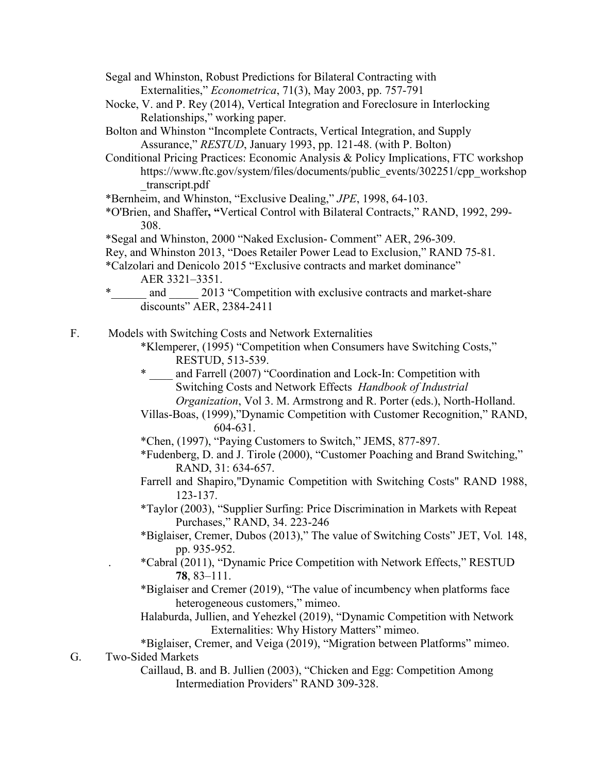- Segal and Whinston, Robust Predictions for Bilateral Contracting with Externalities," *Econometrica*, 71(3), May 2003, pp. 757-791
- Nocke, V. and P. Rey (2014), Vertical Integration and Foreclosure in Interlocking Relationships," working paper.
- Bolton and Whinston "Incomplete Contracts, Vertical Integration, and Supply Assurance," *RESTUD*, January 1993, pp. 121-48. (with P. Bolton)
- Conditional Pricing Practices: Economic Analysis & Policy Implications, FTC workshop https://www.ftc.gov/system/files/documents/public\_events/302251/cpp\_workshop \_transcript.pdf
- \*Bernheim, and Whinston, "Exclusive Dealing," *JPE*, 1998, 64-103.
- \*O'Brien, and Shaffer**, "**Vertical Control with Bilateral Contracts," RAND, 1992, 299- 308.
- \*Segal and Whinston, 2000 "Naked Exclusion- Comment" AER, 296-309.
- Rey, and Whinston 2013, "Does Retailer Power Lead to Exclusion," RAND 75-81.

\*Calzolari and Denicolo 2015 "Exclusive contracts and market dominance" AER 3321–3351.

and 2013 "Competition with exclusive contracts and market-share discounts" AER, 2384-2411

F. Models with Switching Costs and Network Externalities

- \*Klemperer, (1995) "Competition when Consumers have Switching Costs," RESTUD, 513-539.
- and Farrell (2007) "Coordination and Lock-In: Competition with Switching Costs and Network Effects *Handbook of Industrial Organization*, Vol 3. M. Armstrong and R. Porter (eds.), North-Holland.
- Villas-Boas, (1999),"Dynamic Competition with Customer Recognition," RAND, 604-631.
- \*Chen, (1997), "Paying Customers to Switch," JEMS, 877-897.
- \*Fudenberg, D. and J. Tirole (2000), "Customer Poaching and Brand Switching," RAND, 31: 634-657.
- Farrell and Shapiro,"Dynamic Competition with Switching Costs" RAND 1988, 123-137.
- \*Taylor (2003), "Supplier Surfing: Price Discrimination in Markets with Repeat Purchases," RAND, 34. 223-246
- \*Biglaiser, Cremer, Dubos (2013)," The value of Switching Costs" JET, Vol*.* 148, pp. 935-952.
- . \*Cabral (2011), "Dynamic Price Competition with Network Effects," RESTUD **78**, 83–111.
- \*Biglaiser and Cremer (2019), "The value of incumbency when platforms face heterogeneous customers," mimeo.
- Halaburda, Jullien, and Yehezkel (2019), "Dynamic Competition with Network Externalities: Why History Matters" mimeo.
- \*Biglaiser, Cremer, and Veiga (2019), "Migration between Platforms" mimeo. G. Two-Sided Markets
	- Caillaud, B. and B. Jullien (2003), "Chicken and Egg: Competition Among Intermediation Providers" RAND 309-328.